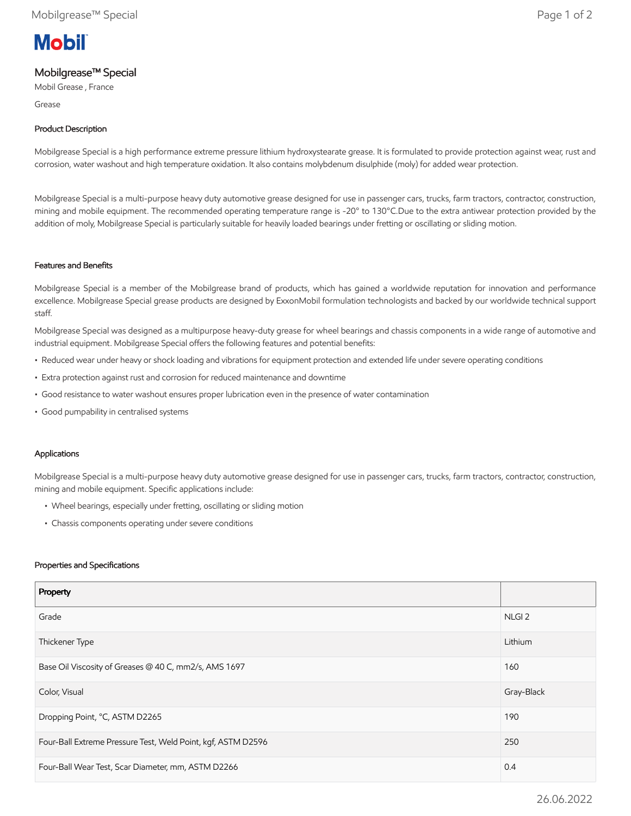# **Mobil**

# Mobilgrease™ Special

Mobil Grease , France

Grease

# Product Description

Mobilgrease Special is a high performance extreme pressure lithium hydroxystearate grease. It is formulated to provide protection against wear, rust and corrosion, water washout and high temperature oxidation. It also contains molybdenum disulphide (moly) for added wear protection.

Mobilgrease Special is a multi-purpose heavy duty automotive grease designed for use in passenger cars, trucks, farm tractors, contractor, construction, mining and mobile equipment. The recommended operating temperature range is -20° to 130°C.Due to the extra antiwear protection provided by the addition of moly, Mobilgrease Special is particularly suitable for heavily loaded bearings under fretting or oscillating or sliding motion.

#### Features and Benefits

Mobilgrease Special is a member of the Mobilgrease brand of products, which has gained a worldwide reputation for innovation and performance excellence. Mobilgrease Special grease products are designed by ExxonMobil formulation technologists and backed by our worldwide technical support staff.

Mobilgrease Special was designed as a multipurpose heavy-duty grease for wheel bearings and chassis components in a wide range of automotive and industrial equipment. Mobilgrease Special offers the following features and potential benefits:

- Reduced wear under heavy or shock loading and vibrations for equipment protection and extended life under severe operating conditions
- Extra protection against rust and corrosion for reduced maintenance and downtime
- Good resistance to water washout ensures proper lubrication even in the presence of water contamination
- Good pumpability in centralised systems

## Applications

Mobilgrease Special is a multi-purpose heavy duty automotive grease designed for use in passenger cars, trucks, farm tractors, contractor, construction, mining and mobile equipment. Specific applications include:

- Wheel bearings, especially under fretting, oscillating or sliding motion
- Chassis components operating under severe conditions

#### Properties and Specifications

| Property                                                     |                   |
|--------------------------------------------------------------|-------------------|
| Grade                                                        | NLGI <sub>2</sub> |
| Thickener Type                                               | Lithium           |
| Base Oil Viscosity of Greases @ 40 C, mm2/s, AMS 1697        | 160               |
| Color, Visual                                                | Gray-Black        |
| Dropping Point, °C, ASTM D2265                               | 190               |
| Four-Ball Extreme Pressure Test, Weld Point, kgf, ASTM D2596 | 250               |
| Four-Ball Wear Test, Scar Diameter, mm, ASTM D2266           | 0.4               |